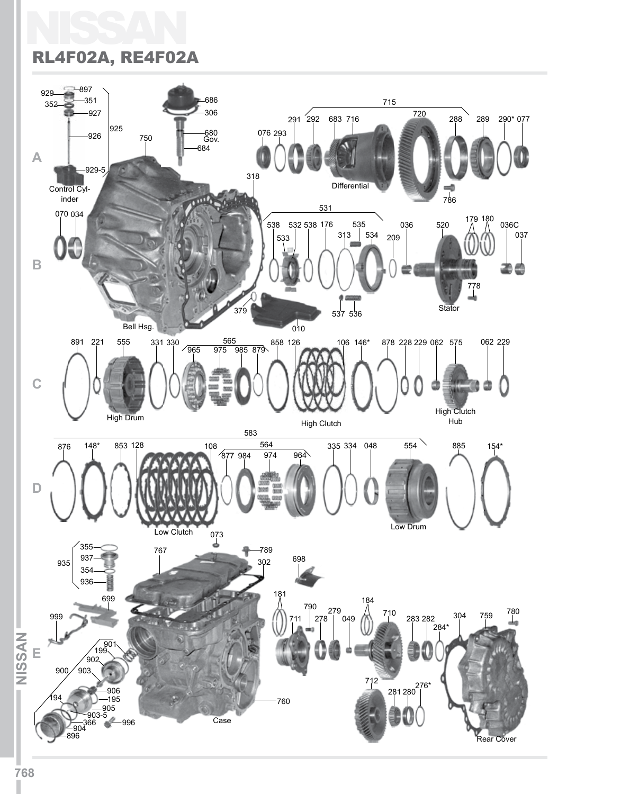# NISSAN RL4F02A, RE4F02A

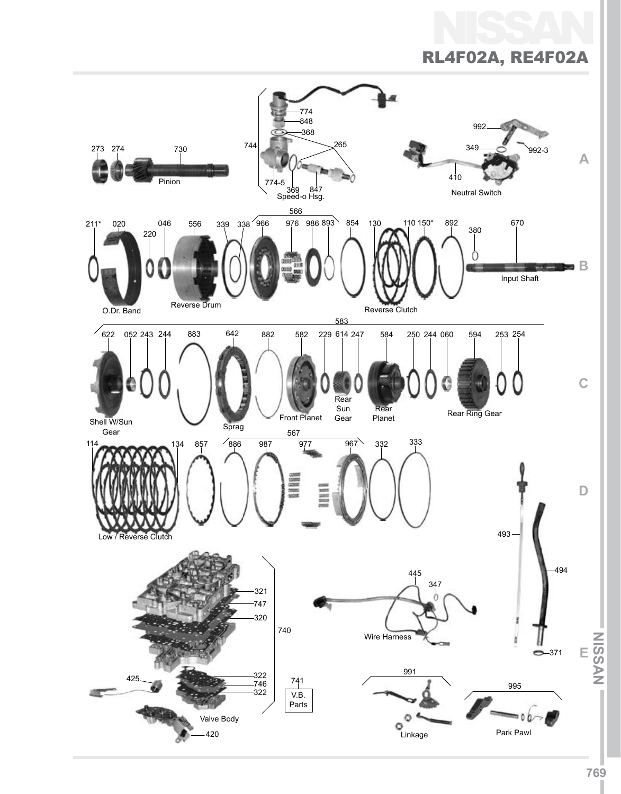# NISSAN

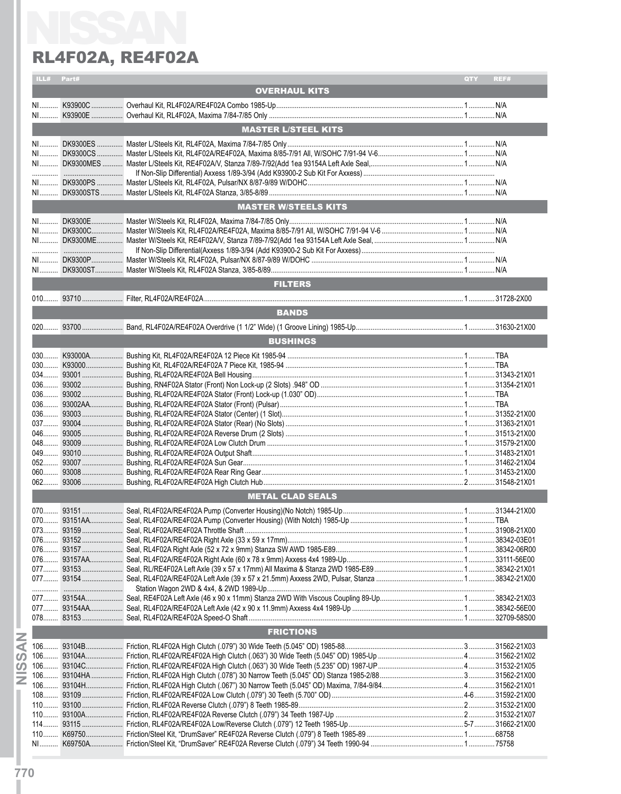|      |            | RL4F02A, RE4F02A                   |     |      |
|------|------------|------------------------------------|-----|------|
|      | ILL# Part# |                                    | QTY | REF# |
|      |            | <b>OVERHAUL KITS</b>               |     |      |
|      |            |                                    |     |      |
|      |            |                                    |     |      |
|      |            | <b>MASTER L/STEEL KITS</b>         |     |      |
|      |            |                                    |     |      |
|      |            |                                    |     |      |
|      |            |                                    |     |      |
|      |            |                                    |     |      |
|      |            |                                    |     |      |
|      |            |                                    |     |      |
|      |            | <b>MASTER W/STEELS KITS</b>        |     |      |
|      |            |                                    |     |      |
|      |            |                                    |     |      |
|      |            |                                    |     |      |
|      |            |                                    |     |      |
|      |            |                                    |     |      |
|      |            | <b>FILTERS</b>                     |     |      |
|      |            |                                    |     |      |
|      |            |                                    |     |      |
|      |            | <b>BANDS</b>                       |     |      |
|      |            |                                    |     |      |
|      |            | <b>BUSHINGS</b>                    |     |      |
|      |            |                                    |     |      |
|      |            |                                    |     |      |
|      |            |                                    |     |      |
|      |            |                                    |     |      |
|      |            |                                    |     |      |
|      |            |                                    |     |      |
|      |            |                                    |     |      |
|      |            |                                    |     |      |
|      |            |                                    |     |      |
|      |            |                                    |     |      |
| 052. | 93007.     | Bushing, RL4F02A/RE4F02A Sun Gear. |     |      |
|      |            |                                    |     |      |
|      |            |                                    |     |      |
|      |            | <b>METAL CLAD SEALS</b>            |     |      |
|      |            |                                    |     |      |
|      |            |                                    |     |      |
|      |            |                                    |     |      |
|      |            |                                    |     |      |
|      |            |                                    |     |      |
|      |            |                                    |     |      |
|      |            |                                    |     |      |
|      |            |                                    |     |      |
|      |            |                                    |     |      |
|      |            |                                    |     |      |
|      |            | <b>FRICTIONS</b>                   |     |      |
|      |            |                                    |     |      |
|      |            |                                    |     |      |
|      |            |                                    |     |      |
|      |            |                                    |     |      |
|      |            |                                    |     |      |
|      |            |                                    |     |      |
|      |            |                                    |     |      |
|      |            |                                    |     |      |
|      |            |                                    |     |      |
|      |            |                                    |     |      |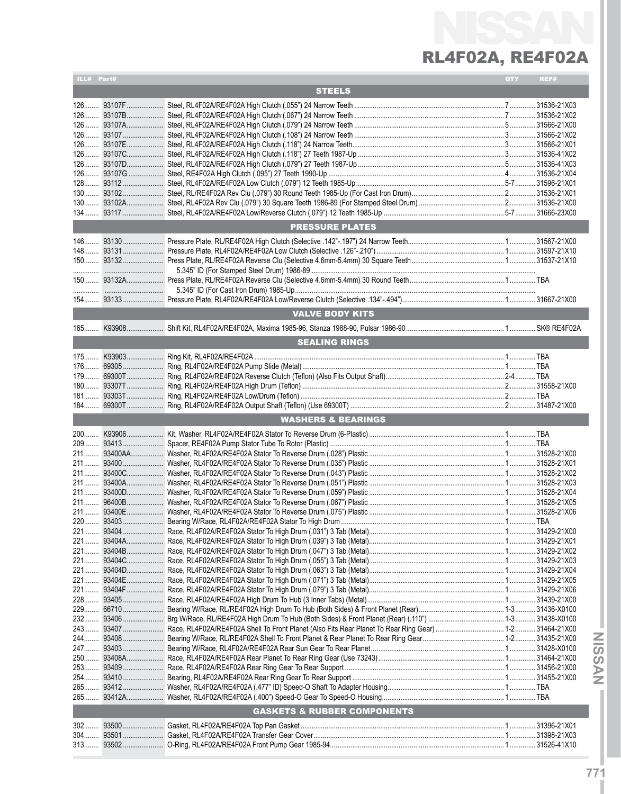# NISSAN RL4F02A, RE4F02A

| ILL# Part# |                                        | QTY | REF# |
|------------|----------------------------------------|-----|------|
|            | <b>STEELS</b>                          |     |      |
|            |                                        |     |      |
|            |                                        |     |      |
|            |                                        |     |      |
|            |                                        |     |      |
|            |                                        |     |      |
|            |                                        |     |      |
|            |                                        |     |      |
|            |                                        |     |      |
|            |                                        |     |      |
|            |                                        |     |      |
|            |                                        |     |      |
|            |                                        |     |      |
|            |                                        |     |      |
|            | <b>PRESSURE PLATES</b>                 |     |      |
|            |                                        |     |      |
|            |                                        |     |      |
|            |                                        |     |      |
|            |                                        |     |      |
|            |                                        |     |      |
|            |                                        |     |      |
|            |                                        |     |      |
|            |                                        |     |      |
|            | <b>VALVE BODY KITS</b>                 |     |      |
|            |                                        |     |      |
|            | <b>SEALING RINGS</b>                   |     |      |
|            |                                        |     |      |
|            |                                        |     |      |
|            |                                        |     |      |
|            |                                        |     |      |
|            |                                        |     |      |
|            |                                        |     |      |
|            |                                        |     |      |
|            |                                        |     |      |
|            | <b>WASHERS &amp; BEARINGS</b>          |     |      |
|            |                                        |     |      |
|            |                                        |     |      |
|            |                                        |     |      |
|            |                                        |     |      |
|            |                                        |     |      |
|            |                                        |     |      |
|            |                                        |     |      |
|            |                                        |     |      |
|            |                                        |     |      |
|            |                                        |     |      |
|            |                                        |     |      |
|            |                                        |     |      |
|            |                                        |     |      |
|            |                                        |     |      |
|            |                                        |     |      |
|            |                                        |     |      |
|            |                                        |     |      |
|            |                                        |     |      |
|            |                                        |     |      |
|            |                                        |     |      |
|            |                                        |     |      |
|            |                                        |     |      |
|            |                                        |     |      |
|            |                                        |     |      |
|            |                                        |     |      |
|            |                                        |     |      |
|            |                                        |     |      |
|            |                                        |     |      |
|            |                                        |     |      |
|            | <b>GASKETS &amp; RUBBER COMPONENTS</b> |     |      |
|            |                                        |     |      |
|            |                                        |     |      |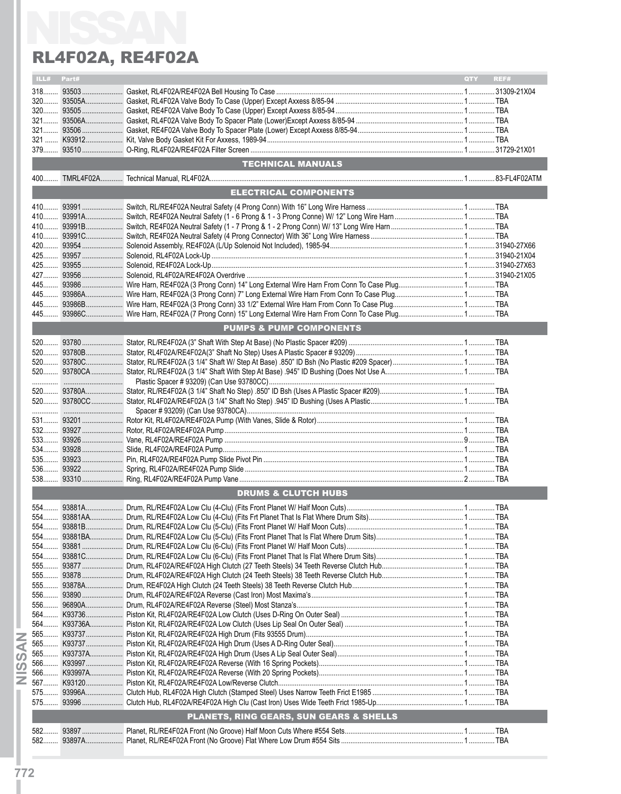|      |       | RL4F02A, RE4F02A                                   |            |      |
|------|-------|----------------------------------------------------|------------|------|
| ILL# | Part# |                                                    | <b>OTY</b> | REF# |
|      |       |                                                    |            |      |
|      |       |                                                    |            |      |
|      |       |                                                    |            |      |
|      |       |                                                    |            |      |
|      |       |                                                    |            |      |
|      |       |                                                    |            |      |
|      |       |                                                    |            |      |
|      |       | TECHNICAL MANUALS <b>TECHNICAL MANUALS</b>         |            |      |
|      |       |                                                    |            |      |
|      |       | <b>ELECTRICAL COMPONENTS</b>                       |            |      |
|      |       |                                                    |            |      |
|      |       |                                                    |            |      |
|      |       |                                                    |            |      |
|      |       |                                                    |            |      |
|      |       |                                                    |            |      |
|      |       |                                                    |            |      |
|      |       |                                                    |            |      |
|      |       |                                                    |            |      |
|      |       |                                                    |            |      |
|      |       |                                                    |            |      |
|      |       |                                                    |            |      |
|      |       |                                                    |            |      |
|      |       | <b>PUMPS &amp; PUMP COMPONENTS</b>                 |            |      |
|      |       |                                                    |            |      |
|      |       |                                                    |            |      |
|      |       |                                                    |            |      |
|      |       |                                                    |            |      |
|      |       |                                                    |            |      |
|      |       |                                                    |            |      |
|      |       |                                                    |            |      |
|      |       |                                                    |            |      |
|      |       |                                                    |            |      |
|      |       |                                                    |            |      |
|      |       |                                                    |            |      |
|      |       |                                                    |            |      |
|      |       |                                                    |            |      |
|      |       |                                                    |            |      |
|      |       |                                                    |            |      |
|      |       | <b>DRUMS &amp; CLUTCH HUBS</b>                     |            |      |
|      |       |                                                    |            |      |
|      |       |                                                    |            |      |
|      |       |                                                    |            |      |
|      |       |                                                    |            |      |
|      |       |                                                    |            |      |
|      |       |                                                    |            |      |
|      |       |                                                    |            |      |
|      |       |                                                    |            |      |
|      |       |                                                    |            |      |
|      |       |                                                    |            |      |
|      |       |                                                    |            |      |
|      |       |                                                    |            |      |
|      |       |                                                    |            |      |
|      |       |                                                    |            |      |
|      |       |                                                    |            |      |
|      |       |                                                    |            |      |
|      |       |                                                    |            |      |
|      |       |                                                    |            |      |
|      |       |                                                    |            |      |
|      |       |                                                    |            |      |
|      |       |                                                    |            |      |
|      |       | <b>PLANETS, RING GEARS, SUN GEARS &amp; SHELLS</b> |            |      |
|      |       |                                                    |            |      |
|      |       |                                                    |            |      |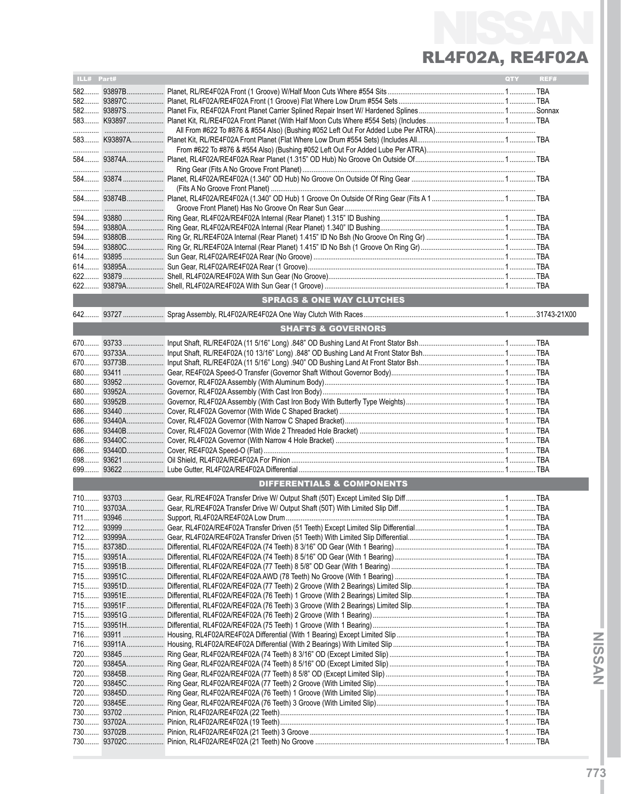# NISSAN RL4F02A, RE4F02A

| ILL# Part# |             |                                       | QTY | REF# |
|------------|-------------|---------------------------------------|-----|------|
|            | 58293897B   |                                       |     |      |
|            |             |                                       |     |      |
|            |             |                                       |     |      |
|            |             |                                       |     |      |
|            |             |                                       |     |      |
|            |             |                                       |     |      |
|            |             |                                       |     |      |
|            |             |                                       |     |      |
|            |             |                                       |     |      |
|            |             |                                       |     |      |
|            |             |                                       |     |      |
|            |             |                                       |     |      |
|            |             |                                       |     |      |
|            | 594 93880   |                                       |     |      |
|            | 594 93880A  |                                       |     |      |
|            | 594 93880B  |                                       |     |      |
|            | 594 93880C  |                                       |     |      |
|            | 614 93895   |                                       |     |      |
| 614        | 93895A      |                                       |     |      |
|            |             |                                       |     |      |
|            |             |                                       |     |      |
|            |             | <b>SPRAGS &amp; ONE WAY CLUTCHES</b>  |     |      |
|            |             |                                       |     |      |
|            |             | <b>SHAFTS &amp; GOVERNORS</b>         |     |      |
|            |             |                                       |     |      |
|            | 670 93733   |                                       |     |      |
|            | 67093733A   |                                       |     |      |
|            | 670  93773B |                                       |     |      |
|            | 680 93411   |                                       |     |      |
| 680        | $93952$     |                                       |     |      |
|            | 68093952A   |                                       |     |      |
| 680        | $93952B$    |                                       |     |      |
|            |             |                                       |     |      |
|            |             |                                       |     |      |
| 686        | 93440B      |                                       |     |      |
| 686        |             |                                       |     |      |
| 686        |             |                                       |     |      |
|            |             |                                       |     |      |
| 699        |             |                                       |     |      |
|            |             | <b>DIFFERENTIALS &amp; COMPONENTS</b> |     |      |
|            |             |                                       |     |      |
|            |             |                                       |     |      |
|            |             |                                       |     |      |
|            |             |                                       |     |      |
| 712        | 93999A      |                                       |     |      |
|            | 715 83738D  |                                       |     |      |
|            |             |                                       |     |      |
|            | 715 93951B  |                                       |     |      |
|            |             |                                       |     |      |
|            | 715 93951D  |                                       |     |      |
|            | 715 93951E  |                                       |     |      |
|            |             |                                       |     |      |
|            |             |                                       |     |      |
|            |             |                                       |     |      |
|            |             |                                       |     |      |
|            | 716 93911A  |                                       |     |      |
|            | 720 93845   |                                       |     |      |
|            | 720 93845A  |                                       |     |      |
|            | 720 93845B  |                                       |     |      |
|            |             |                                       |     |      |
| 720        | 93845D      |                                       |     |      |
|            |             |                                       |     |      |
|            |             |                                       |     |      |
|            |             |                                       |     |      |
|            |             |                                       |     |      |
|            |             |                                       |     |      |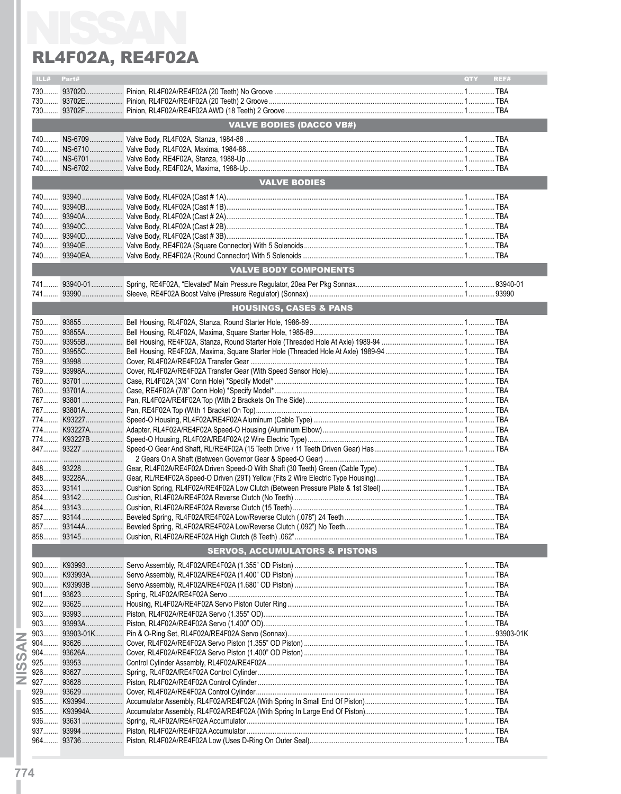|          | ILL# Part# |                                           | QTY <b>A</b> | REF# |
|----------|------------|-------------------------------------------|--------------|------|
|          |            |                                           |              |      |
|          |            |                                           |              |      |
|          |            |                                           |              |      |
|          |            | <b>VALVE BODIES (DACCO VB#)</b>           |              |      |
|          |            |                                           |              |      |
|          |            |                                           |              |      |
|          |            |                                           |              |      |
|          |            |                                           |              |      |
|          |            | <b>VALVE BODIES</b>                       |              |      |
|          |            |                                           |              |      |
|          |            |                                           |              |      |
|          |            |                                           |              |      |
|          |            |                                           |              |      |
|          |            |                                           |              |      |
|          |            |                                           |              |      |
|          |            |                                           |              |      |
|          |            |                                           |              |      |
|          |            | <b>VALVE BODY COMPONENTS</b>              |              |      |
|          |            |                                           |              |      |
|          |            |                                           |              |      |
|          |            | <b>HOUSINGS, CASES &amp; PANS</b>         |              |      |
|          |            |                                           |              |      |
|          |            |                                           |              |      |
|          |            |                                           |              |      |
|          |            |                                           |              |      |
|          |            |                                           |              |      |
|          |            |                                           |              |      |
|          |            |                                           |              |      |
|          |            |                                           |              |      |
|          |            |                                           |              |      |
|          |            |                                           |              |      |
|          |            |                                           |              |      |
|          |            |                                           |              |      |
|          |            |                                           |              |      |
|          |            |                                           |              |      |
|          |            |                                           |              |      |
|          |            |                                           |              |      |
|          |            |                                           |              |      |
|          |            |                                           |              |      |
|          |            |                                           |              |      |
|          |            |                                           |              |      |
|          |            |                                           |              |      |
|          |            |                                           |              |      |
|          |            | <b>SERVOS, ACCUMULATORS &amp; PISTONS</b> |              |      |
|          |            |                                           |              |      |
| $900$    |            |                                           |              |      |
| $900$    | K93993A    |                                           |              |      |
|          |            |                                           |              |      |
| $902$    |            |                                           |              |      |
| $903$    |            |                                           |              |      |
| 903      | 93993A     |                                           |              |      |
| $903$    |            |                                           |              |      |
| $904$    |            |                                           |              |      |
| 904.     | 93626A     |                                           |              |      |
| ၯ<br>925 | 93953      |                                           |              |      |
| 926      | 93627      |                                           |              |      |
| $927$    |            |                                           |              |      |
| 929      |            |                                           |              |      |
| 935      | K93994     |                                           |              |      |
|          |            |                                           |              |      |
|          |            |                                           |              |      |
|          |            |                                           |              |      |
| $964$    |            |                                           |              |      |